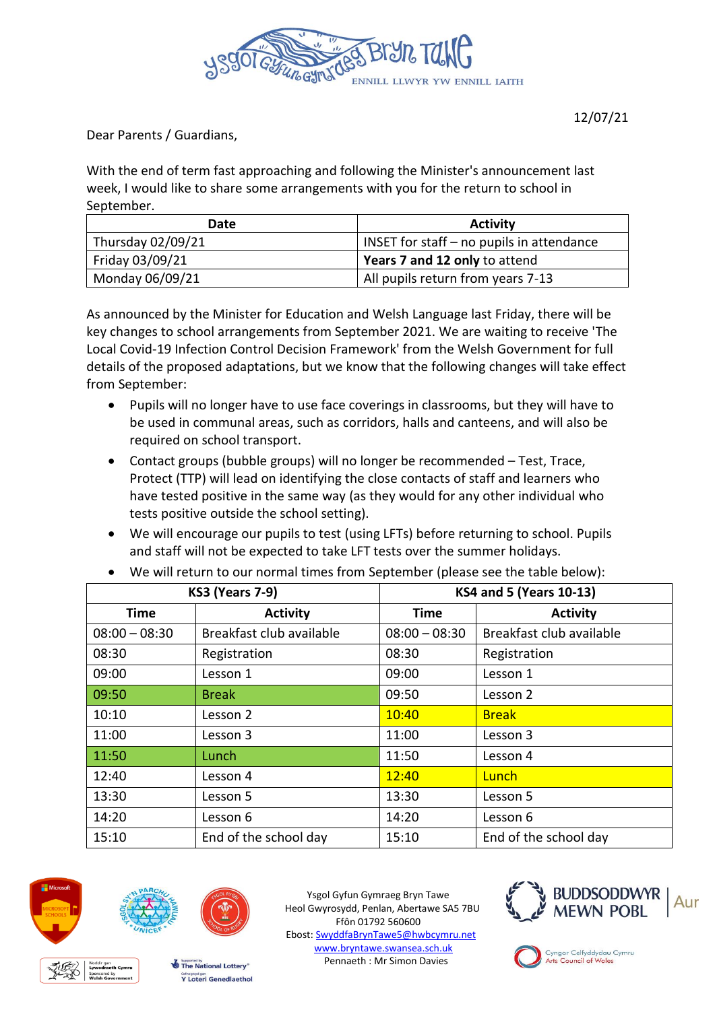

Dear Parents / Guardians,

With the end of term fast approaching and following the Minister's announcement last week, I would like to share some arrangements with you for the return to school in September.

| Date              | <b>Activity</b>                             |  |
|-------------------|---------------------------------------------|--|
| Thursday 02/09/21 | INSET for staff $-$ no pupils in attendance |  |
| Friday 03/09/21   | Years 7 and 12 only to attend               |  |
| Monday 06/09/21   | All pupils return from years 7-13           |  |

As announced by the Minister for Education and Welsh Language last Friday, there will be key changes to school arrangements from September 2021. We are waiting to receive 'The Local Covid-19 Infection Control Decision Framework' from the Welsh Government for full details of the proposed adaptations, but we know that the following changes will take effect from September:

- Pupils will no longer have to use face coverings in classrooms, but they will have to be used in communal areas, such as corridors, halls and canteens, and will also be required on school transport.
- Contact groups (bubble groups) will no longer be recommended Test, Trace, Protect (TTP) will lead on identifying the close contacts of staff and learners who have tested positive in the same way (as they would for any other individual who tests positive outside the school setting).
- We will encourage our pupils to test (using LFTs) before returning to school. Pupils and staff will not be expected to take LFT tests over the summer holidays.

| <b>KS3 (Years 7-9)</b> |                          | <b>KS4 and 5 (Years 10-13)</b> |                          |
|------------------------|--------------------------|--------------------------------|--------------------------|
| Time                   | <b>Activity</b>          | Time                           | <b>Activity</b>          |
| $08:00 - 08:30$        | Breakfast club available | $08:00 - 08:30$                | Breakfast club available |
| 08:30                  | Registration             | 08:30                          | Registration             |
| 09:00                  | Lesson 1                 | 09:00                          | Lesson 1                 |
| 09:50                  | <b>Break</b>             | 09:50                          | Lesson 2                 |
| 10:10                  | Lesson 2                 | 10:40                          | <b>Break</b>             |
| 11:00                  | Lesson 3                 | 11:00                          | Lesson 3                 |
| 11:50                  | Lunch                    | 11:50                          | Lesson 4                 |
| 12:40                  | Lesson 4                 | 12:40                          | Lunch                    |
| 13:30                  | Lesson 5                 | 13:30                          | Lesson 5                 |
| 14:20                  | Lesson 6                 | 14:20                          | Lesson 6                 |
| 15:10                  | End of the school day    | 15:10                          | End of the school day    |

We will return to our normal times from September (please see the table below):



Ysgol Gyfun Gymraeg Bryn Tawe Heol Gwyrosydd, Penlan, Abertawe SA5 7BU Ffôn 01792 560600 Ebost: [SwyddfaBrynTawe5@hwbcymru.net](mailto:SwyddfaBrynTawe5@hwbcymru.net) [www.bryntawe.swansea.sch.uk](http://www.bryntawe.swansea.sch.uk/) Pennaeth : Mr Simon Davies